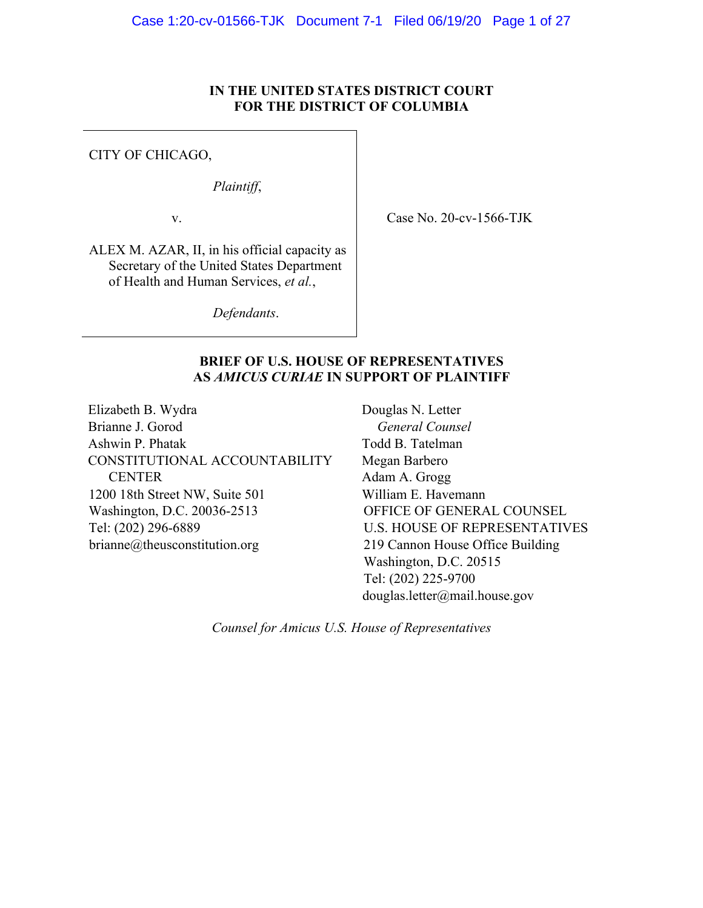# **IN THE UNITED STATES DISTRICT COURT FOR THE DISTRICT OF COLUMBIA**

CITY OF CHICAGO,

*Plaintiff*,

v.

Case No. 20-cv-1566-TJK

ALEX M. AZAR, II, in his official capacity as Secretary of the United States Department of Health and Human Services, *et al.*,

*Defendants*.

# **BRIEF OF U.S. HOUSE OF REPRESENTATIVES AS** *AMICUS CURIAE* **IN SUPPORT OF PLAINTIFF**

Elizabeth B. Wydra Brianne J. Gorod Ashwin P. Phatak CONSTITUTIONAL ACCOUNTABILITY **CENTER** 1200 18th Street NW, Suite 501 Washington, D.C. 20036-2513 Tel: (202) 296-6889 brianne@theusconstitution.org

Douglas N. Letter *General Counsel* Todd B. Tatelman Megan Barbero Adam A. Grogg William E. Havemann OFFICE OF GENERAL COUNSEL U.S. HOUSE OF REPRESENTATIVES 219 Cannon House Office Building Washington, D.C. 20515 Tel: (202) 225-9700 douglas.letter@mail.house.gov

*Counsel for Amicus U.S. House of Representatives*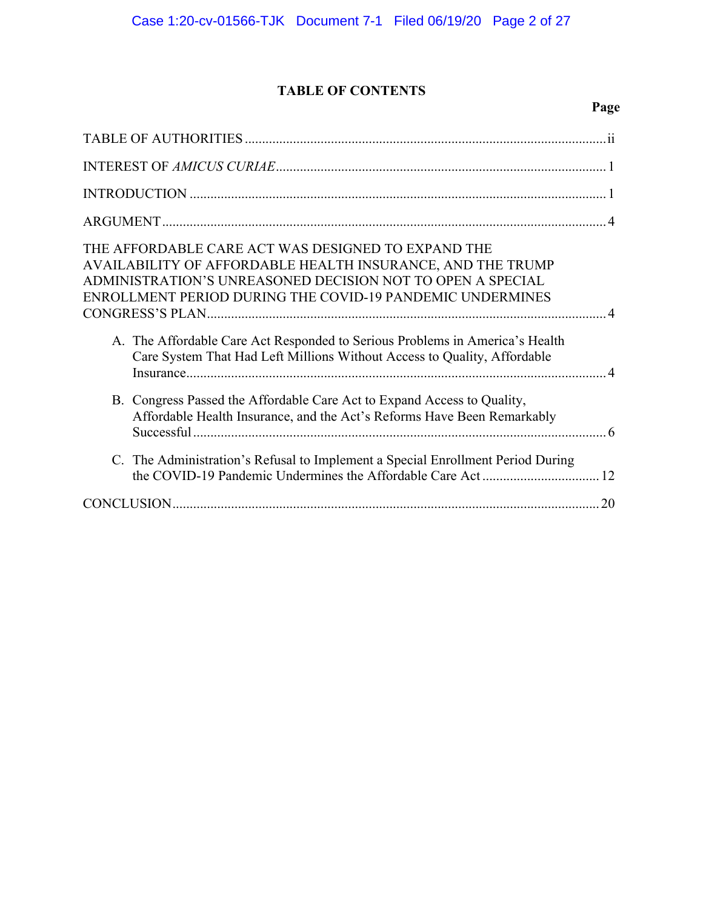# **TABLE OF CONTENTS**

| THE AFFORDABLE CARE ACT WAS DESIGNED TO EXPAND THE<br>AVAILABILITY OF AFFORDABLE HEALTH INSURANCE, AND THE TRUMP<br>ADMINISTRATION'S UNREASONED DECISION NOT TO OPEN A SPECIAL<br>ENROLLMENT PERIOD DURING THE COVID-19 PANDEMIC UNDERMINES |
|---------------------------------------------------------------------------------------------------------------------------------------------------------------------------------------------------------------------------------------------|
| A. The Affordable Care Act Responded to Serious Problems in America's Health<br>Care System That Had Left Millions Without Access to Quality, Affordable                                                                                    |
| B. Congress Passed the Affordable Care Act to Expand Access to Quality,<br>Affordable Health Insurance, and the Act's Reforms Have Been Remarkably                                                                                          |
| C. The Administration's Refusal to Implement a Special Enrollment Period During                                                                                                                                                             |
|                                                                                                                                                                                                                                             |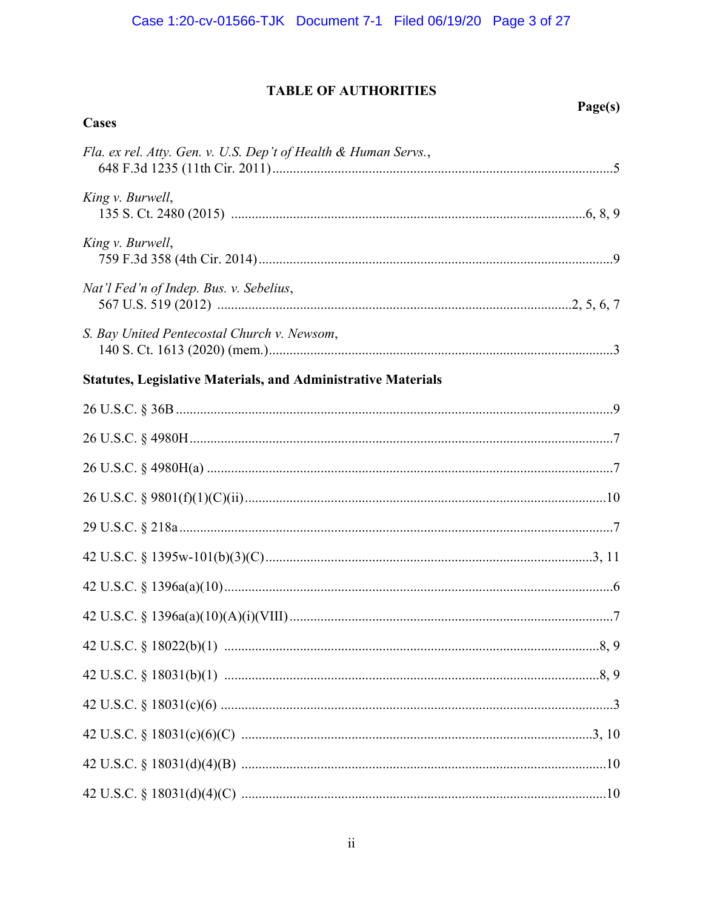# **TABLE OF AUTHORITIES**

| Cases                                                                | Page(s) |
|----------------------------------------------------------------------|---------|
|                                                                      |         |
| Fla. ex rel. Atty. Gen. v. U.S. Dep't of Health & Human Servs.,      |         |
| King v. Burwell,                                                     |         |
| King v. Burwell,                                                     |         |
| Nat'l Fed'n of Indep. Bus. v. Sebelius,                              |         |
| S. Bay United Pentecostal Church v. Newsom,                          |         |
| <b>Statutes, Legislative Materials, and Administrative Materials</b> |         |
|                                                                      |         |
|                                                                      |         |
|                                                                      |         |
|                                                                      |         |
|                                                                      |         |
|                                                                      |         |
|                                                                      |         |
|                                                                      |         |
|                                                                      |         |
|                                                                      |         |
|                                                                      |         |
|                                                                      |         |
|                                                                      |         |
|                                                                      |         |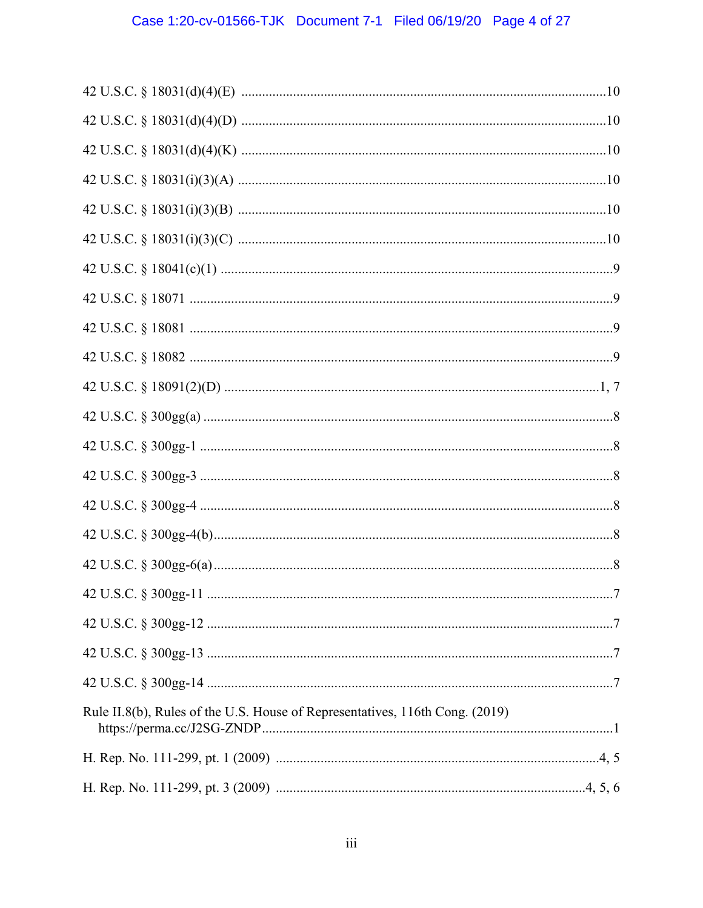| Rule II.8(b), Rules of the U.S. House of Representatives, 116th Cong. (2019) |
|------------------------------------------------------------------------------|
|                                                                              |
|                                                                              |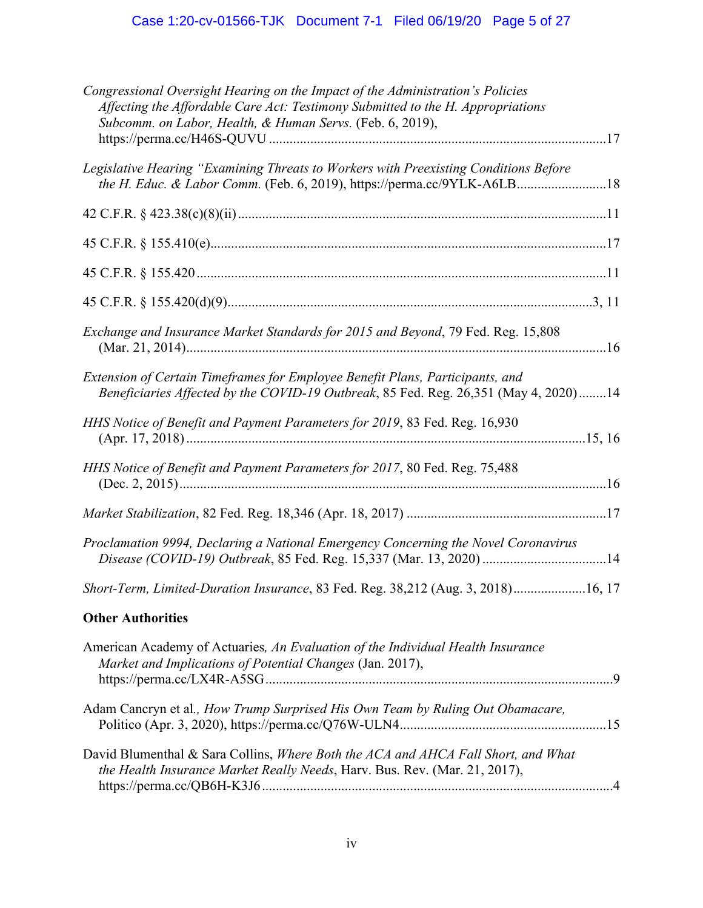| Congressional Oversight Hearing on the Impact of the Administration's Policies<br>Affecting the Affordable Care Act: Testimony Submitted to the H. Appropriations<br>Subcomm. on Labor, Health, & Human Servs. (Feb. 6, 2019), |  |
|--------------------------------------------------------------------------------------------------------------------------------------------------------------------------------------------------------------------------------|--|
| Legislative Hearing "Examining Threats to Workers with Preexisting Conditions Before<br>the H. Educ. & Labor Comm. (Feb. 6, 2019), https://perma.cc/9YLK-A6LB18                                                                |  |
|                                                                                                                                                                                                                                |  |
|                                                                                                                                                                                                                                |  |
|                                                                                                                                                                                                                                |  |
|                                                                                                                                                                                                                                |  |
| Exchange and Insurance Market Standards for 2015 and Beyond, 79 Fed. Reg. 15,808                                                                                                                                               |  |
| Extension of Certain Timeframes for Employee Benefit Plans, Participants, and<br>Beneficiaries Affected by the COVID-19 Outbreak, 85 Fed. Reg. 26,351 (May 4, 2020)14                                                          |  |
| HHS Notice of Benefit and Payment Parameters for 2019, 83 Fed. Reg. 16,930                                                                                                                                                     |  |
| HHS Notice of Benefit and Payment Parameters for 2017, 80 Fed. Reg. 75,488                                                                                                                                                     |  |
|                                                                                                                                                                                                                                |  |
| Proclamation 9994, Declaring a National Emergency Concerning the Novel Coronavirus                                                                                                                                             |  |
| Short-Term, Limited-Duration Insurance, 83 Fed. Reg. 38,212 (Aug. 3, 2018)16, 17                                                                                                                                               |  |
| <b>Other Authorities</b>                                                                                                                                                                                                       |  |
| American Academy of Actuaries, An Evaluation of the Individual Health Insurance<br>Market and Implications of Potential Changes (Jan. 2017),                                                                                   |  |
| Adam Cancryn et al., How Trump Surprised His Own Team by Ruling Out Obamacare,                                                                                                                                                 |  |
| David Blumenthal & Sara Collins, Where Both the ACA and AHCA Fall Short, and What<br>the Health Insurance Market Really Needs, Harv. Bus. Rev. (Mar. 21, 2017),                                                                |  |
|                                                                                                                                                                                                                                |  |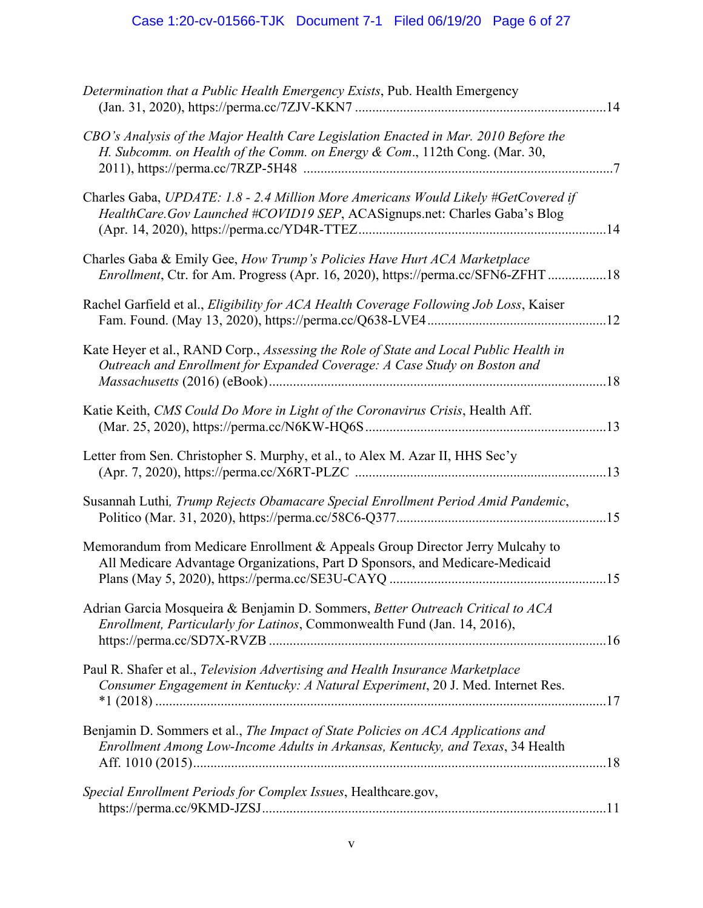# Case 1:20-cv-01566-TJK Document 7-1 Filed 06/19/20 Page 6 of 27

| Determination that a Public Health Emergency Exists, Pub. Health Emergency                                                                                         |  |
|--------------------------------------------------------------------------------------------------------------------------------------------------------------------|--|
| CBO's Analysis of the Major Health Care Legislation Enacted in Mar. 2010 Before the<br>H. Subcomm. on Health of the Comm. on Energy & Com., 112th Cong. (Mar. 30,  |  |
| Charles Gaba, UPDATE: 1.8 - 2.4 Million More Americans Would Likely #GetCovered if<br>HealthCare.Gov Launched #COVID19 SEP, ACASignups.net: Charles Gaba's Blog    |  |
| Charles Gaba & Emily Gee, How Trump's Policies Have Hurt ACA Marketplace<br>Enrollment, Ctr. for Am. Progress (Apr. 16, 2020), https://perma.cc/SFN6-ZFHT18        |  |
| Rachel Garfield et al., Eligibility for ACA Health Coverage Following Job Loss, Kaiser                                                                             |  |
| Kate Heyer et al., RAND Corp., Assessing the Role of State and Local Public Health in<br>Outreach and Enrollment for Expanded Coverage: A Case Study on Boston and |  |
| Katie Keith, CMS Could Do More in Light of the Coronavirus Crisis, Health Aff.                                                                                     |  |
| Letter from Sen. Christopher S. Murphy, et al., to Alex M. Azar II, HHS Sec'y                                                                                      |  |
| Susannah Luthi, Trump Rejects Obamacare Special Enrollment Period Amid Pandemic,                                                                                   |  |
| Memorandum from Medicare Enrollment & Appeals Group Director Jerry Mulcahy to<br>All Medicare Advantage Organizations, Part D Sponsors, and Medicare-Medicaid      |  |
| Adrian Garcia Mosqueira & Benjamin D. Sommers, Better Outreach Critical to ACA<br>Enrollment, Particularly for Latinos, Commonwealth Fund (Jan. 14, 2016),         |  |
| Paul R. Shafer et al., Television Advertising and Health Insurance Marketplace<br>Consumer Engagement in Kentucky: A Natural Experiment, 20 J. Med. Internet Res.  |  |
| Benjamin D. Sommers et al., The Impact of State Policies on ACA Applications and<br>Enrollment Among Low-Income Adults in Arkansas, Kentucky, and Texas, 34 Health |  |
| Special Enrollment Periods for Complex Issues, Healthcare.gov,                                                                                                     |  |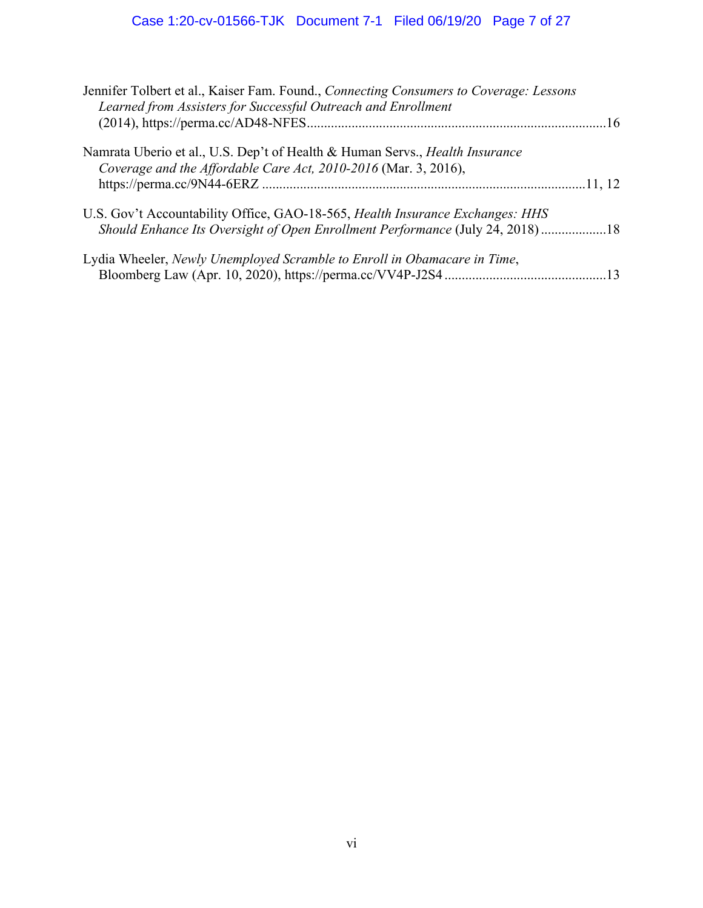| Jennifer Tolbert et al., Kaiser Fam. Found., Connecting Consumers to Coverage: Lessons<br>Learned from Assisters for Successful Outreach and Enrollment |  |
|---------------------------------------------------------------------------------------------------------------------------------------------------------|--|
|                                                                                                                                                         |  |
| Namrata Uberio et al., U.S. Dep't of Health & Human Servs., <i>Health Insurance</i><br>Coverage and the Affordable Care Act, 2010-2016 (Mar. 3, 2016),  |  |
|                                                                                                                                                         |  |
| U.S. Gov't Accountability Office, GAO-18-565, Health Insurance Exchanges: HHS                                                                           |  |
| Should Enhance Its Oversight of Open Enrollment Performance (July 24, 2018)18                                                                           |  |
| Lydia Wheeler, Newly Unemployed Scramble to Enroll in Obamacare in Time,                                                                                |  |
|                                                                                                                                                         |  |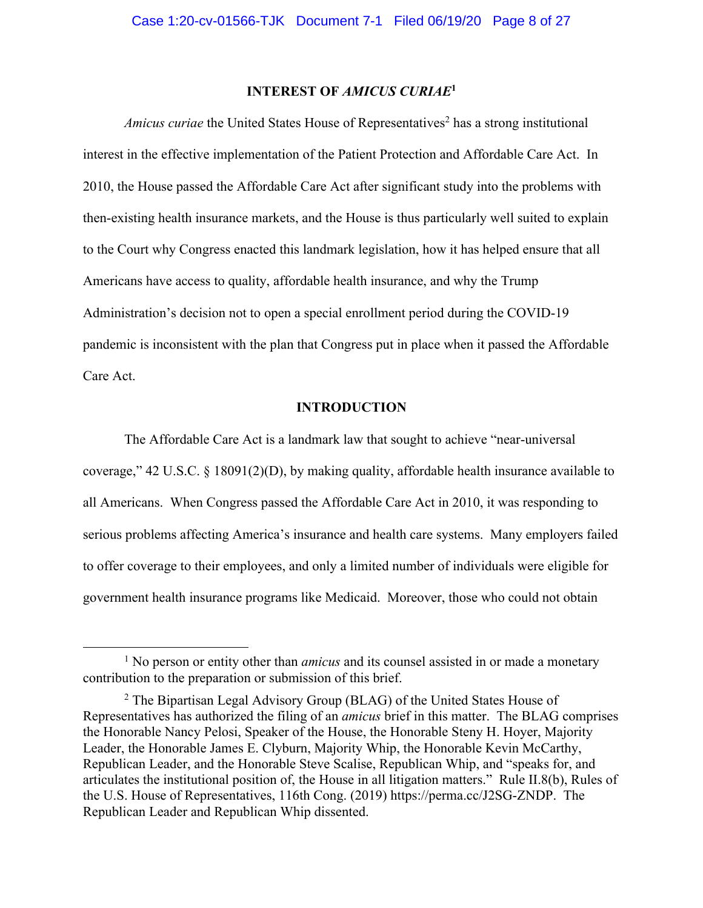# **INTEREST OF** *AMICUS CURIAE***<sup>1</sup>**

*Amicus curiae* the United States House of Representatives<sup>2</sup> has a strong institutional interest in the effective implementation of the Patient Protection and Affordable Care Act. In 2010, the House passed the Affordable Care Act after significant study into the problems with then-existing health insurance markets, and the House is thus particularly well suited to explain to the Court why Congress enacted this landmark legislation, how it has helped ensure that all Americans have access to quality, affordable health insurance, and why the Trump Administration's decision not to open a special enrollment period during the COVID-19 pandemic is inconsistent with the plan that Congress put in place when it passed the Affordable Care Act.

#### **INTRODUCTION**

The Affordable Care Act is a landmark law that sought to achieve "near-universal coverage," 42 U.S.C. § 18091(2)(D), by making quality, affordable health insurance available to all Americans. When Congress passed the Affordable Care Act in 2010, it was responding to serious problems affecting America's insurance and health care systems. Many employers failed to offer coverage to their employees, and only a limited number of individuals were eligible for government health insurance programs like Medicaid. Moreover, those who could not obtain

<sup>&</sup>lt;sup>1</sup> No person or entity other than *amicus* and its counsel assisted in or made a monetary contribution to the preparation or submission of this brief.

 $2$  The Bipartisan Legal Advisory Group (BLAG) of the United States House of Representatives has authorized the filing of an *amicus* brief in this matter. The BLAG comprises the Honorable Nancy Pelosi, Speaker of the House, the Honorable Steny H. Hoyer, Majority Leader, the Honorable James E. Clyburn, Majority Whip, the Honorable Kevin McCarthy, Republican Leader, and the Honorable Steve Scalise, Republican Whip, and "speaks for, and articulates the institutional position of, the House in all litigation matters." Rule II.8(b), Rules of the U.S. House of Representatives, 116th Cong. (2019) https://perma.cc/J2SG-ZNDP. The Republican Leader and Republican Whip dissented.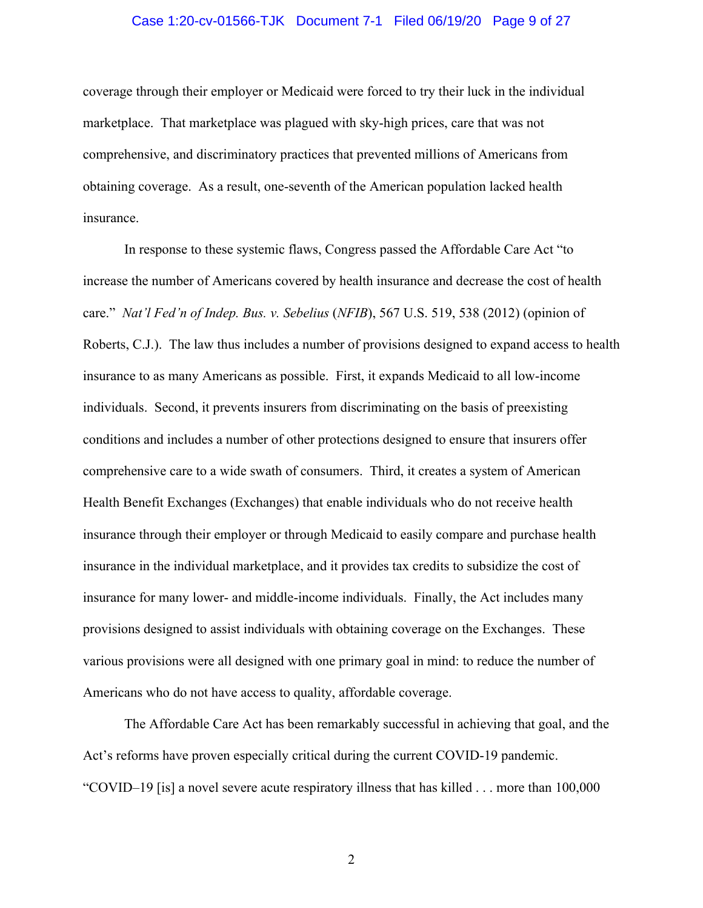#### Case 1:20-cv-01566-TJK Document 7-1 Filed 06/19/20 Page 9 of 27

coverage through their employer or Medicaid were forced to try their luck in the individual marketplace. That marketplace was plagued with sky-high prices, care that was not comprehensive, and discriminatory practices that prevented millions of Americans from obtaining coverage. As a result, one-seventh of the American population lacked health insurance.

In response to these systemic flaws, Congress passed the Affordable Care Act "to increase the number of Americans covered by health insurance and decrease the cost of health care." *Nat'l Fed'n of Indep. Bus. v. Sebelius* (*NFIB*), 567 U.S. 519, 538 (2012) (opinion of Roberts, C.J.). The law thus includes a number of provisions designed to expand access to health insurance to as many Americans as possible. First, it expands Medicaid to all low-income individuals. Second, it prevents insurers from discriminating on the basis of preexisting conditions and includes a number of other protections designed to ensure that insurers offer comprehensive care to a wide swath of consumers. Third, it creates a system of American Health Benefit Exchanges (Exchanges) that enable individuals who do not receive health insurance through their employer or through Medicaid to easily compare and purchase health insurance in the individual marketplace, and it provides tax credits to subsidize the cost of insurance for many lower- and middle-income individuals. Finally, the Act includes many provisions designed to assist individuals with obtaining coverage on the Exchanges. These various provisions were all designed with one primary goal in mind: to reduce the number of Americans who do not have access to quality, affordable coverage.

The Affordable Care Act has been remarkably successful in achieving that goal, and the Act's reforms have proven especially critical during the current COVID-19 pandemic. "COVID–19 [is] a novel severe acute respiratory illness that has killed . . . more than 100,000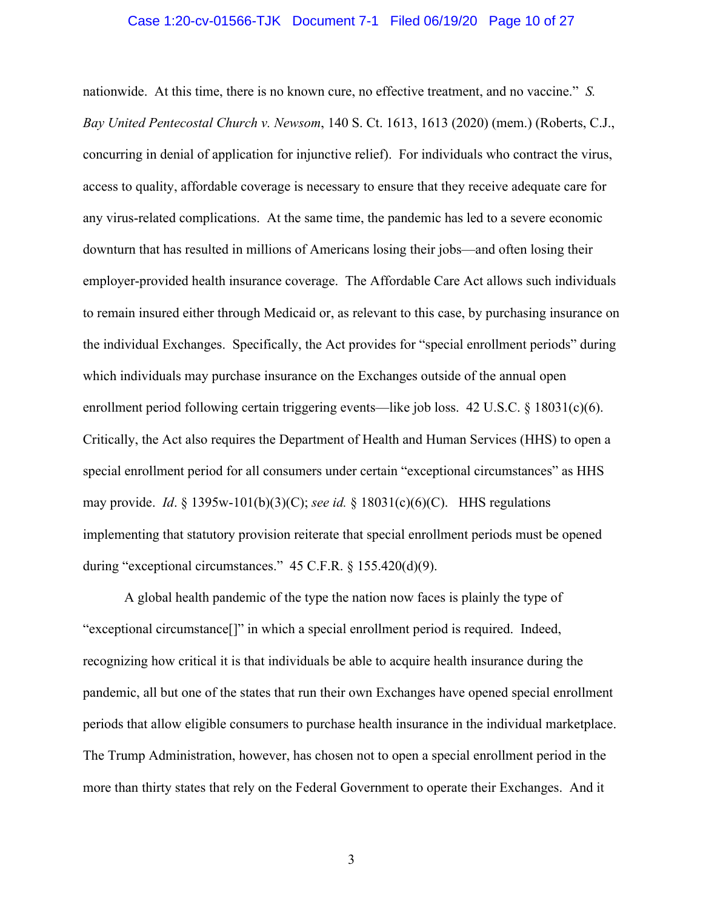#### Case 1:20-cv-01566-TJK Document 7-1 Filed 06/19/20 Page 10 of 27

nationwide. At this time, there is no known cure, no effective treatment, and no vaccine." *S. Bay United Pentecostal Church v. Newsom*, 140 S. Ct. 1613, 1613 (2020) (mem.) (Roberts, C.J., concurring in denial of application for injunctive relief). For individuals who contract the virus, access to quality, affordable coverage is necessary to ensure that they receive adequate care for any virus-related complications. At the same time, the pandemic has led to a severe economic downturn that has resulted in millions of Americans losing their jobs—and often losing their employer-provided health insurance coverage. The Affordable Care Act allows such individuals to remain insured either through Medicaid or, as relevant to this case, by purchasing insurance on the individual Exchanges. Specifically, the Act provides for "special enrollment periods" during which individuals may purchase insurance on the Exchanges outside of the annual open enrollment period following certain triggering events—like job loss. 42 U.S.C. § 18031(c)(6). Critically, the Act also requires the Department of Health and Human Services (HHS) to open a special enrollment period for all consumers under certain "exceptional circumstances" as HHS may provide. *Id*. § 1395w-101(b)(3)(C); *see id.* § 18031(c)(6)(C). HHS regulations implementing that statutory provision reiterate that special enrollment periods must be opened during "exceptional circumstances." 45 C.F.R. § 155.420(d)(9).

A global health pandemic of the type the nation now faces is plainly the type of "exceptional circumstance[]" in which a special enrollment period is required. Indeed, recognizing how critical it is that individuals be able to acquire health insurance during the pandemic, all but one of the states that run their own Exchanges have opened special enrollment periods that allow eligible consumers to purchase health insurance in the individual marketplace. The Trump Administration, however, has chosen not to open a special enrollment period in the more than thirty states that rely on the Federal Government to operate their Exchanges. And it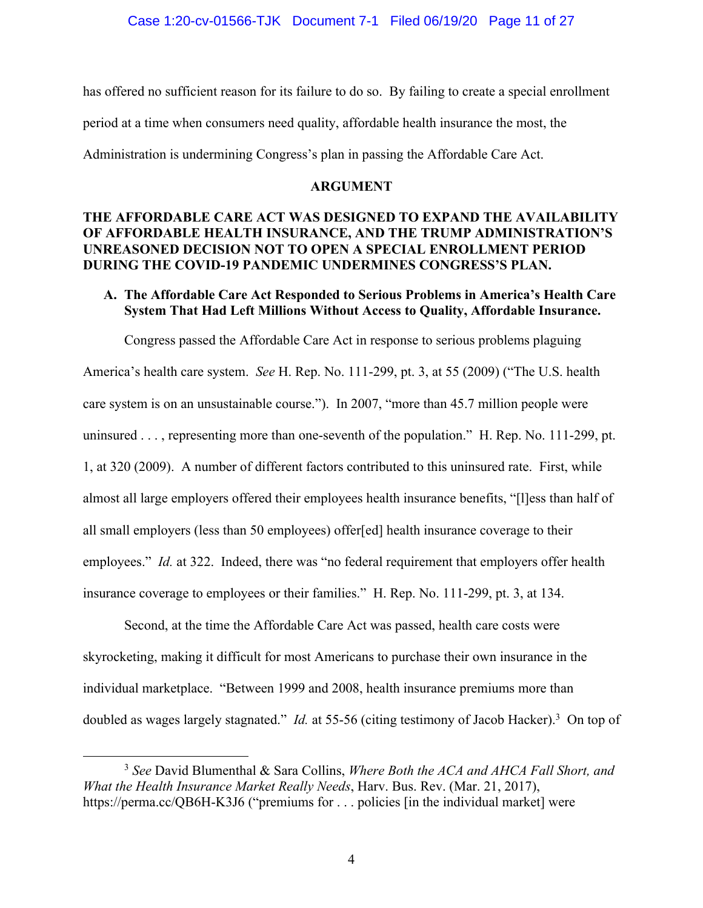has offered no sufficient reason for its failure to do so. By failing to create a special enrollment

period at a time when consumers need quality, affordable health insurance the most, the

Administration is undermining Congress's plan in passing the Affordable Care Act.

#### **ARGUMENT**

# **THE AFFORDABLE CARE ACT WAS DESIGNED TO EXPAND THE AVAILABILITY OF AFFORDABLE HEALTH INSURANCE, AND THE TRUMP ADMINISTRATION'S UNREASONED DECISION NOT TO OPEN A SPECIAL ENROLLMENT PERIOD DURING THE COVID-19 PANDEMIC UNDERMINES CONGRESS'S PLAN.**

# **A. The Affordable Care Act Responded to Serious Problems in America's Health Care System That Had Left Millions Without Access to Quality, Affordable Insurance.**

Congress passed the Affordable Care Act in response to serious problems plaguing America's health care system. *See* H. Rep. No. 111-299, pt. 3, at 55 (2009) ("The U.S. health care system is on an unsustainable course."). In 2007, "more than 45.7 million people were uninsured . . . , representing more than one-seventh of the population." H. Rep. No. 111-299, pt. 1, at 320 (2009). A number of different factors contributed to this uninsured rate. First, while almost all large employers offered their employees health insurance benefits, "[l]ess than half of all small employers (less than 50 employees) offer[ed] health insurance coverage to their employees." *Id.* at 322. Indeed, there was "no federal requirement that employers offer health insurance coverage to employees or their families." H. Rep. No. 111-299, pt. 3, at 134.

Second, at the time the Affordable Care Act was passed, health care costs were skyrocketing, making it difficult for most Americans to purchase their own insurance in the individual marketplace. "Between 1999 and 2008, health insurance premiums more than doubled as wages largely stagnated." *Id.* at 55-56 (citing testimony of Jacob Hacker). 3 On top of

<sup>3</sup> *See* David Blumenthal & Sara Collins, *Where Both the ACA and AHCA Fall Short, and What the Health Insurance Market Really Needs*, Harv. Bus. Rev. (Mar. 21, 2017), https://perma.cc/QB6H-K3J6 ("premiums for . . . policies [in the individual market] were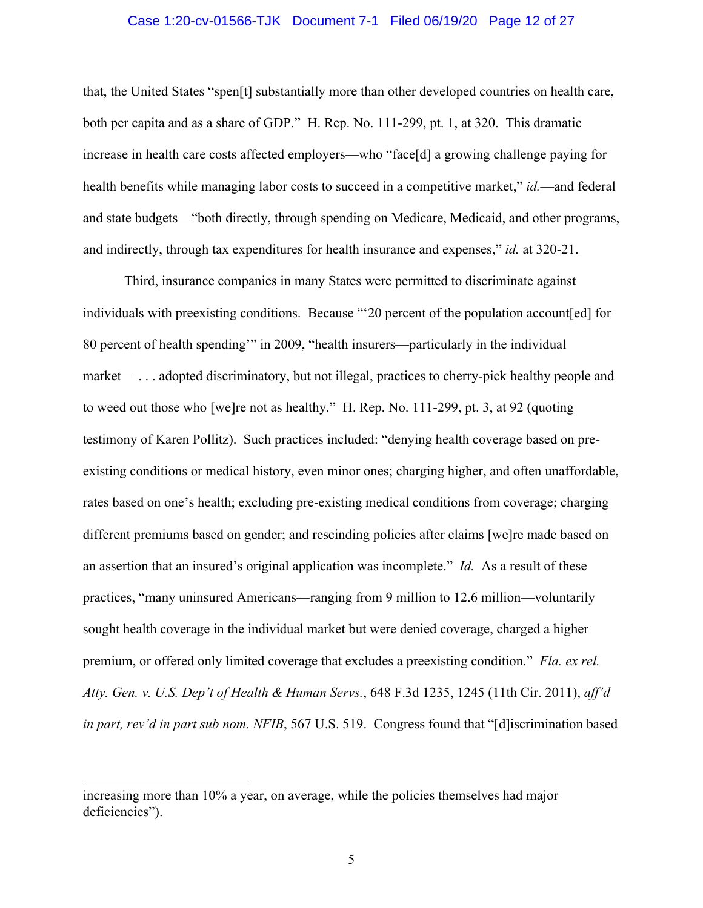#### Case 1:20-cv-01566-TJK Document 7-1 Filed 06/19/20 Page 12 of 27

that, the United States "spen[t] substantially more than other developed countries on health care, both per capita and as a share of GDP." H. Rep. No. 111-299, pt. 1, at 320. This dramatic increase in health care costs affected employers—who "face[d] a growing challenge paying for health benefits while managing labor costs to succeed in a competitive market," *id.*—and federal and state budgets—"both directly, through spending on Medicare, Medicaid, and other programs, and indirectly, through tax expenditures for health insurance and expenses," *id.* at 320-21.

Third, insurance companies in many States were permitted to discriminate against individuals with preexisting conditions. Because "'20 percent of the population account[ed] for 80 percent of health spending'" in 2009, "health insurers—particularly in the individual market— . . . adopted discriminatory, but not illegal, practices to cherry-pick healthy people and to weed out those who [we]re not as healthy." H. Rep. No. 111-299, pt. 3, at 92 (quoting testimony of Karen Pollitz). Such practices included: "denying health coverage based on preexisting conditions or medical history, even minor ones; charging higher, and often unaffordable, rates based on one's health; excluding pre-existing medical conditions from coverage; charging different premiums based on gender; and rescinding policies after claims [we]re made based on an assertion that an insured's original application was incomplete." *Id.* As a result of these practices, "many uninsured Americans—ranging from 9 million to 12.6 million—voluntarily sought health coverage in the individual market but were denied coverage, charged a higher premium, or offered only limited coverage that excludes a preexisting condition." *Fla. ex rel. Atty. Gen. v. U.S. Dep't of Health & Human Servs.*, 648 F.3d 1235, 1245 (11th Cir. 2011), *aff'd in part, rev'd in part sub nom. NFIB*, 567 U.S. 519. Congress found that "[d]iscrimination based

increasing more than 10% a year, on average, while the policies themselves had major deficiencies").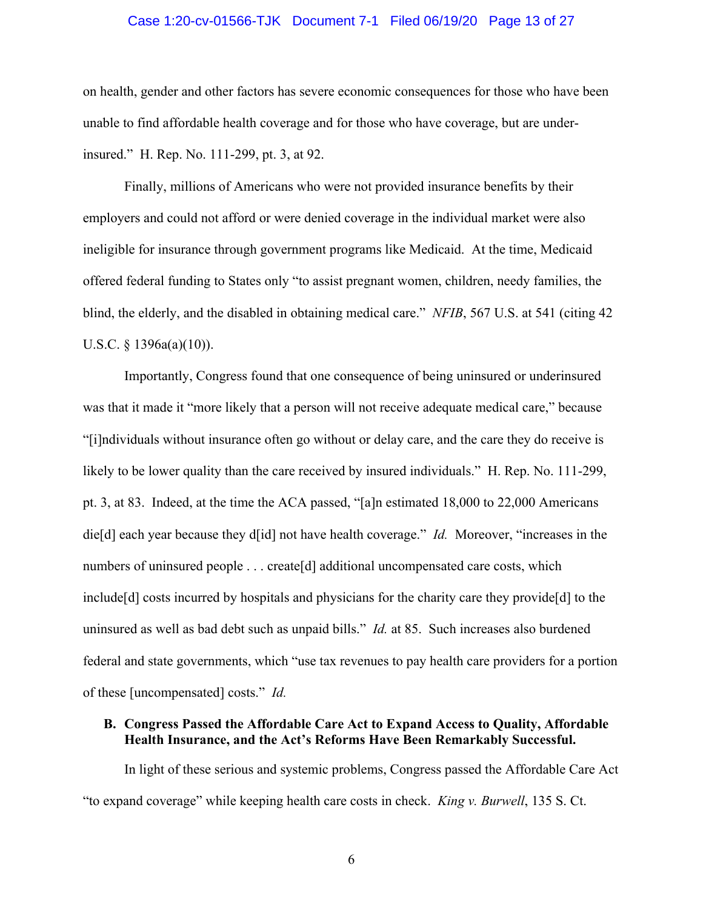#### Case 1:20-cv-01566-TJK Document 7-1 Filed 06/19/20 Page 13 of 27

on health, gender and other factors has severe economic consequences for those who have been unable to find affordable health coverage and for those who have coverage, but are underinsured." H. Rep. No. 111-299, pt. 3, at 92.

Finally, millions of Americans who were not provided insurance benefits by their employers and could not afford or were denied coverage in the individual market were also ineligible for insurance through government programs like Medicaid. At the time, Medicaid offered federal funding to States only "to assist pregnant women, children, needy families, the blind, the elderly, and the disabled in obtaining medical care." *NFIB*, 567 U.S. at 541 (citing 42 U.S.C. § 1396a(a)(10)).

Importantly, Congress found that one consequence of being uninsured or underinsured was that it made it "more likely that a person will not receive adequate medical care," because "[i]ndividuals without insurance often go without or delay care, and the care they do receive is likely to be lower quality than the care received by insured individuals." H. Rep. No. 111-299, pt. 3, at 83. Indeed, at the time the ACA passed, "[a]n estimated 18,000 to 22,000 Americans die[d] each year because they d[id] not have health coverage." *Id.* Moreover, "increases in the numbers of uninsured people . . . create[d] additional uncompensated care costs, which include[d] costs incurred by hospitals and physicians for the charity care they provide[d] to the uninsured as well as bad debt such as unpaid bills." *Id.* at 85. Such increases also burdened federal and state governments, which "use tax revenues to pay health care providers for a portion of these [uncompensated] costs." *Id.*

# **B. Congress Passed the Affordable Care Act to Expand Access to Quality, Affordable Health Insurance, and the Act's Reforms Have Been Remarkably Successful.**

In light of these serious and systemic problems, Congress passed the Affordable Care Act "to expand coverage" while keeping health care costs in check. *King v. Burwell*, 135 S. Ct.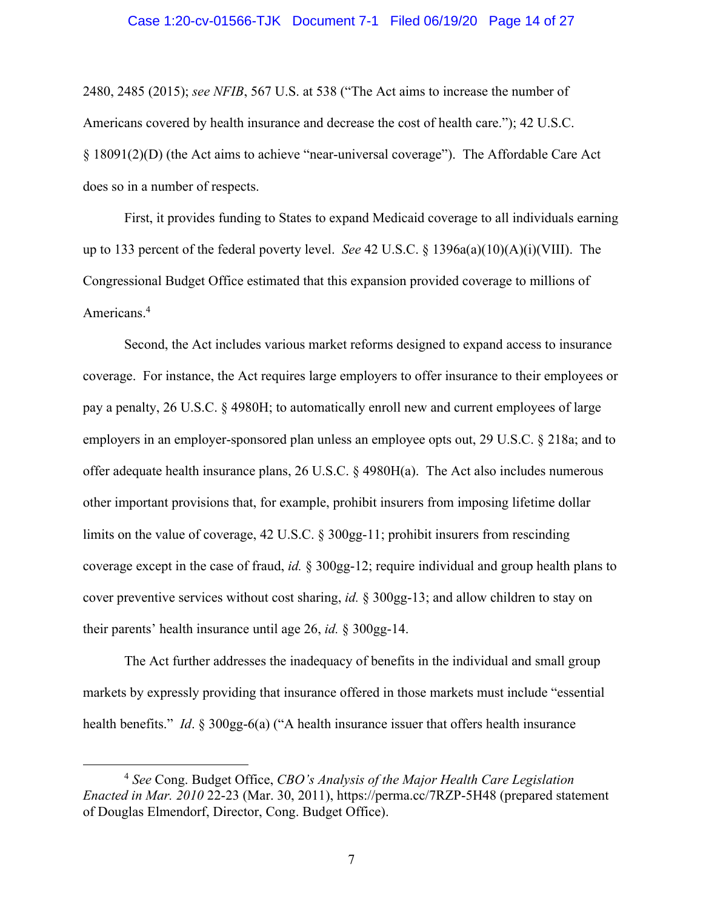#### Case 1:20-cv-01566-TJK Document 7-1 Filed 06/19/20 Page 14 of 27

2480, 2485 (2015); *see NFIB*, 567 U.S. at 538 ("The Act aims to increase the number of Americans covered by health insurance and decrease the cost of health care."); 42 U.S.C. § 18091(2)(D) (the Act aims to achieve "near-universal coverage"). The Affordable Care Act does so in a number of respects.

First, it provides funding to States to expand Medicaid coverage to all individuals earning up to 133 percent of the federal poverty level. *See* 42 U.S.C. § 1396a(a)(10)(A)(i)(VIII). The Congressional Budget Office estimated that this expansion provided coverage to millions of Americans. 4

Second, the Act includes various market reforms designed to expand access to insurance coverage. For instance, the Act requires large employers to offer insurance to their employees or pay a penalty, 26 U.S.C. § 4980H; to automatically enroll new and current employees of large employers in an employer-sponsored plan unless an employee opts out, 29 U.S.C. § 218a; and to offer adequate health insurance plans, 26 U.S.C. § 4980H(a). The Act also includes numerous other important provisions that, for example, prohibit insurers from imposing lifetime dollar limits on the value of coverage, 42 U.S.C. § 300gg-11; prohibit insurers from rescinding coverage except in the case of fraud, *id.* § 300gg-12; require individual and group health plans to cover preventive services without cost sharing, *id.* § 300gg-13; and allow children to stay on their parents' health insurance until age 26, *id.* § 300gg-14.

The Act further addresses the inadequacy of benefits in the individual and small group markets by expressly providing that insurance offered in those markets must include "essential health benefits." *Id.* § 300gg-6(a) ("A health insurance issuer that offers health insurance

<sup>4</sup> *See* Cong. Budget Office, *CBO's Analysis of the Major Health Care Legislation Enacted in Mar. 2010* 22-23 (Mar. 30, 2011), https://perma.cc/7RZP-5H48 (prepared statement of Douglas Elmendorf, Director, Cong. Budget Office).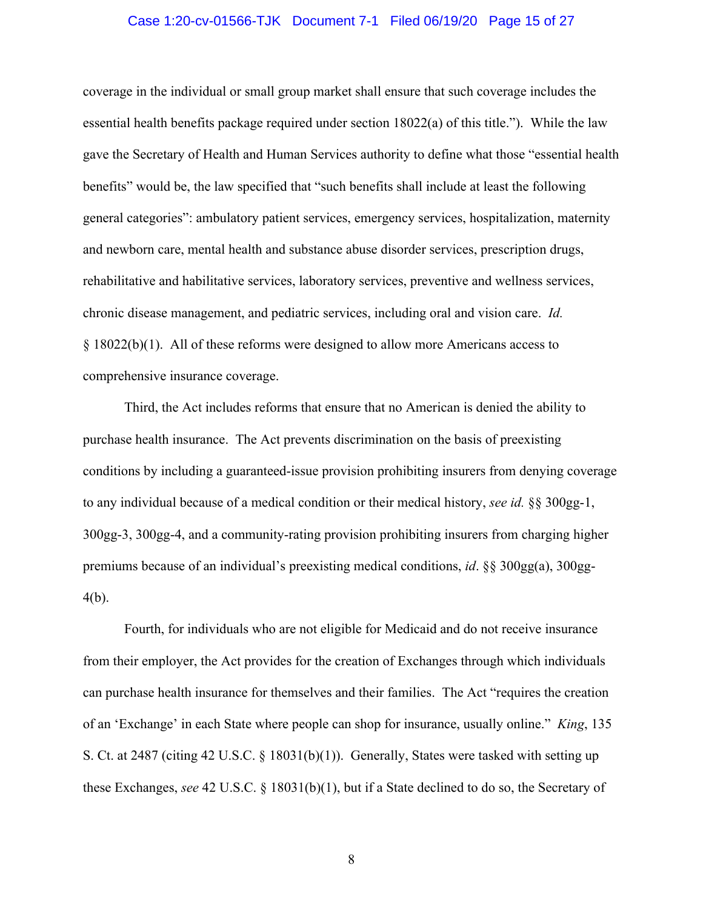#### Case 1:20-cv-01566-TJK Document 7-1 Filed 06/19/20 Page 15 of 27

coverage in the individual or small group market shall ensure that such coverage includes the essential health benefits package required under section 18022(a) of this title."). While the law gave the Secretary of Health and Human Services authority to define what those "essential health benefits" would be, the law specified that "such benefits shall include at least the following general categories": ambulatory patient services, emergency services, hospitalization, maternity and newborn care, mental health and substance abuse disorder services, prescription drugs, rehabilitative and habilitative services, laboratory services, preventive and wellness services, chronic disease management, and pediatric services, including oral and vision care. *Id.*  § 18022(b)(1). All of these reforms were designed to allow more Americans access to comprehensive insurance coverage.

Third, the Act includes reforms that ensure that no American is denied the ability to purchase health insurance. The Act prevents discrimination on the basis of preexisting conditions by including a guaranteed-issue provision prohibiting insurers from denying coverage to any individual because of a medical condition or their medical history, *see id.* §§ 300gg-1, 300gg-3, 300gg-4, and a community-rating provision prohibiting insurers from charging higher premiums because of an individual's preexisting medical conditions, *id*. §§ 300gg(a), 300gg-4(b).

Fourth, for individuals who are not eligible for Medicaid and do not receive insurance from their employer, the Act provides for the creation of Exchanges through which individuals can purchase health insurance for themselves and their families. The Act "requires the creation of an 'Exchange' in each State where people can shop for insurance, usually online." *King*, 135 S. Ct. at 2487 (citing 42 U.S.C. § 18031(b)(1)). Generally, States were tasked with setting up these Exchanges, *see* 42 U.S.C. § 18031(b)(1), but if a State declined to do so, the Secretary of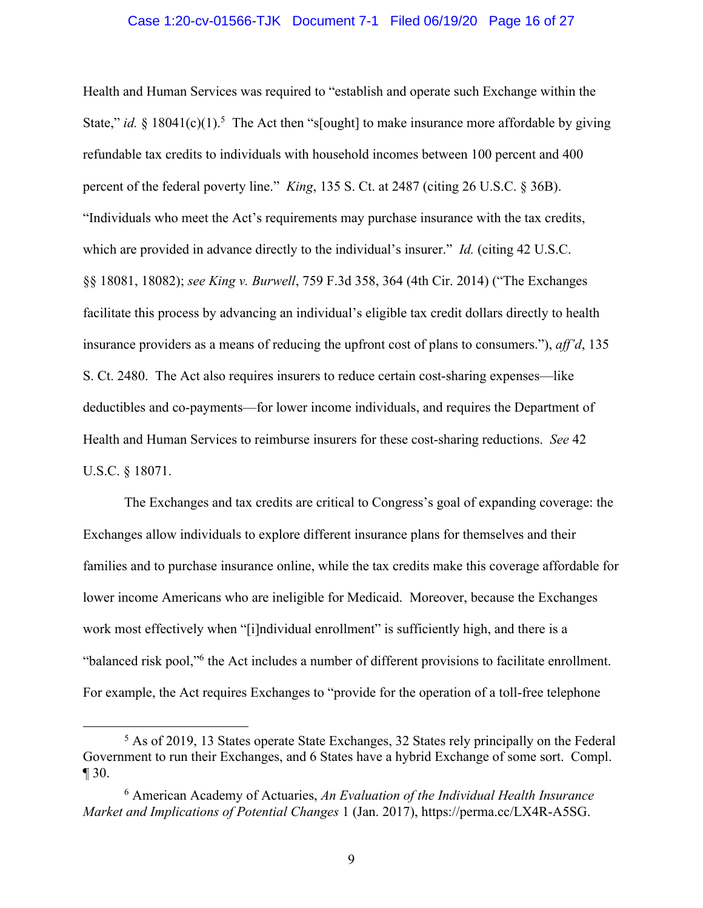#### Case 1:20-cv-01566-TJK Document 7-1 Filed 06/19/20 Page 16 of 27

Health and Human Services was required to "establish and operate such Exchange within the State," *id.* § 18041(c)(1).<sup>5</sup> The Act then "s[ought] to make insurance more affordable by giving refundable tax credits to individuals with household incomes between 100 percent and 400 percent of the federal poverty line." *King*, 135 S. Ct. at 2487 (citing 26 U.S.C. § 36B). "Individuals who meet the Act's requirements may purchase insurance with the tax credits, which are provided in advance directly to the individual's insurer." *Id.* (citing 42 U.S.C. §§ 18081, 18082); *see King v. Burwell*, 759 F.3d 358, 364 (4th Cir. 2014) ("The Exchanges facilitate this process by advancing an individual's eligible tax credit dollars directly to health insurance providers as a means of reducing the upfront cost of plans to consumers."), *aff'd*, 135 S. Ct. 2480. The Act also requires insurers to reduce certain cost-sharing expenses—like deductibles and co-payments—for lower income individuals, and requires the Department of Health and Human Services to reimburse insurers for these cost-sharing reductions. *See* 42 U.S.C. § 18071.

The Exchanges and tax credits are critical to Congress's goal of expanding coverage: the Exchanges allow individuals to explore different insurance plans for themselves and their families and to purchase insurance online, while the tax credits make this coverage affordable for lower income Americans who are ineligible for Medicaid. Moreover, because the Exchanges work most effectively when "[i]ndividual enrollment" is sufficiently high, and there is a "balanced risk pool,"6 the Act includes a number of different provisions to facilitate enrollment. For example, the Act requires Exchanges to "provide for the operation of a toll-free telephone

<sup>5</sup> As of 2019, 13 States operate State Exchanges, 32 States rely principally on the Federal Government to run their Exchanges, and 6 States have a hybrid Exchange of some sort. Compl. ¶ 30.

<sup>6</sup> American Academy of Actuaries, *An Evaluation of the Individual Health Insurance Market and Implications of Potential Changes* 1 (Jan. 2017), https://perma.cc/LX4R-A5SG.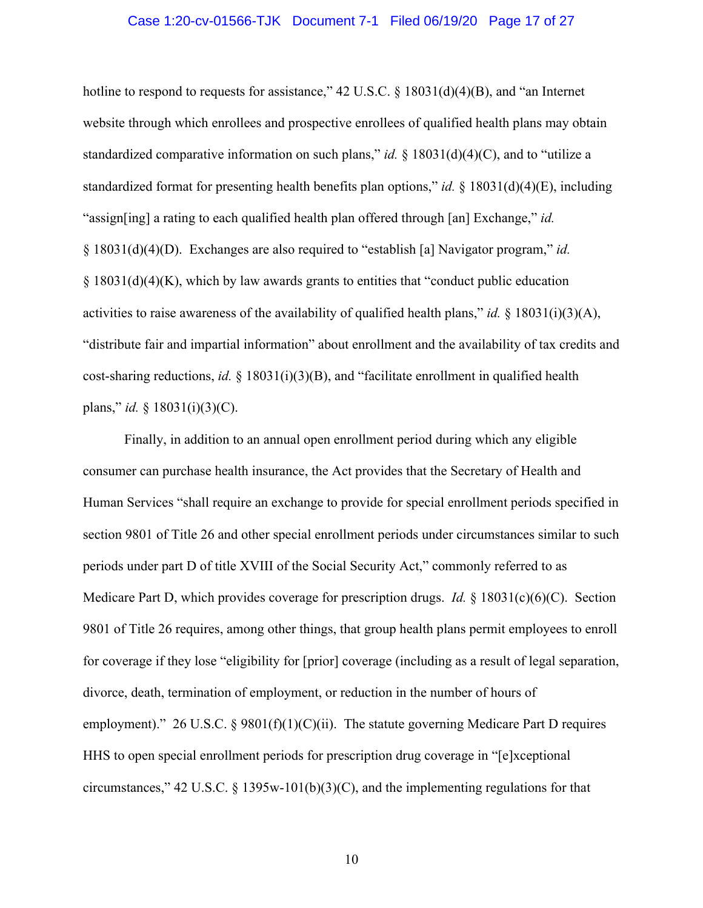#### Case 1:20-cv-01566-TJK Document 7-1 Filed 06/19/20 Page 17 of 27

hotline to respond to requests for assistance," 42 U.S.C. § 18031(d)(4)(B), and "an Internet website through which enrollees and prospective enrollees of qualified health plans may obtain standardized comparative information on such plans," *id.* § 18031(d)(4)(C), and to "utilize a standardized format for presenting health benefits plan options," *id.* § 18031(d)(4)(E), including "assign[ing] a rating to each qualified health plan offered through [an] Exchange," *id.* § 18031(d)(4)(D). Exchanges are also required to "establish [a] Navigator program," *id.* § 18031(d)(4)(K), which by law awards grants to entities that "conduct public education activities to raise awareness of the availability of qualified health plans," *id.* § 18031(i)(3)(A), "distribute fair and impartial information" about enrollment and the availability of tax credits and cost-sharing reductions, *id.* § 18031(i)(3)(B), and "facilitate enrollment in qualified health plans," *id.* § 18031(i)(3)(C).

Finally, in addition to an annual open enrollment period during which any eligible consumer can purchase health insurance, the Act provides that the Secretary of Health and Human Services "shall require an exchange to provide for special enrollment periods specified in section 9801 of Title 26 and other special enrollment periods under circumstances similar to such periods under part D of title XVIII of the Social Security Act," commonly referred to as Medicare Part D, which provides coverage for prescription drugs. *Id.* § 18031(c)(6)(C). Section 9801 of Title 26 requires, among other things, that group health plans permit employees to enroll for coverage if they lose "eligibility for [prior] coverage (including as a result of legal separation, divorce, death, termination of employment, or reduction in the number of hours of employment)." 26 U.S.C. § 9801(f)(1)(C)(ii). The statute governing Medicare Part D requires HHS to open special enrollment periods for prescription drug coverage in "[e]xceptional circumstances," 42 U.S.C. § 1395w-101(b)(3)(C), and the implementing regulations for that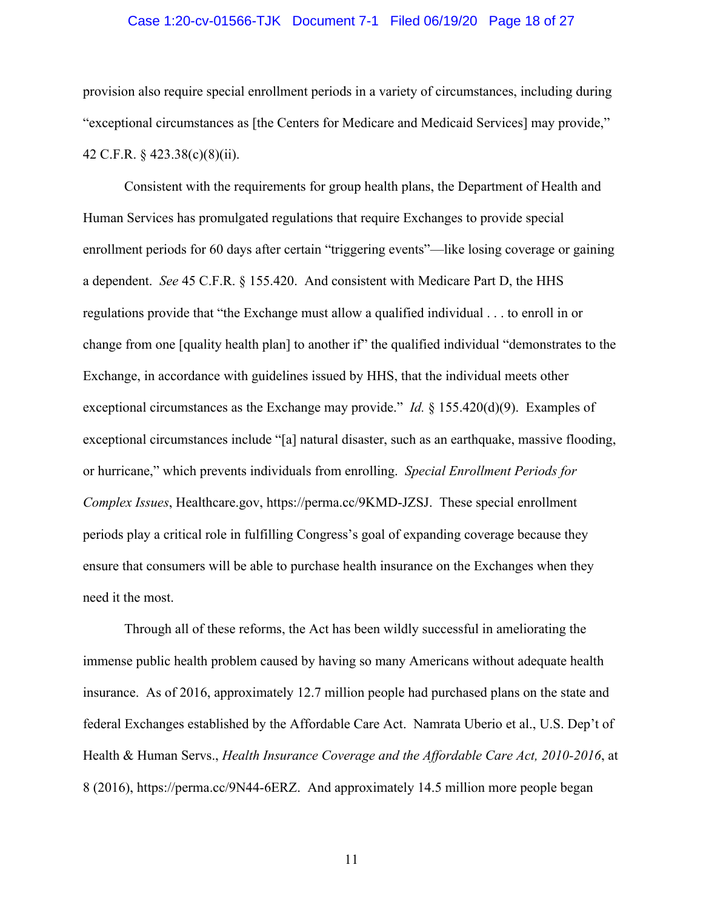#### Case 1:20-cv-01566-TJK Document 7-1 Filed 06/19/20 Page 18 of 27

provision also require special enrollment periods in a variety of circumstances, including during "exceptional circumstances as [the Centers for Medicare and Medicaid Services] may provide," 42 C.F.R. § 423.38(c)(8)(ii).

Consistent with the requirements for group health plans, the Department of Health and Human Services has promulgated regulations that require Exchanges to provide special enrollment periods for 60 days after certain "triggering events"—like losing coverage or gaining a dependent. *See* 45 C.F.R. § 155.420. And consistent with Medicare Part D, the HHS regulations provide that "the Exchange must allow a qualified individual . . . to enroll in or change from one [quality health plan] to another if" the qualified individual "demonstrates to the Exchange, in accordance with guidelines issued by HHS, that the individual meets other exceptional circumstances as the Exchange may provide." *Id.* § 155.420(d)(9). Examples of exceptional circumstances include "[a] natural disaster, such as an earthquake, massive flooding, or hurricane," which prevents individuals from enrolling. *Special Enrollment Periods for Complex Issues*, Healthcare.gov, https://perma.cc/9KMD-JZSJ. These special enrollment periods play a critical role in fulfilling Congress's goal of expanding coverage because they ensure that consumers will be able to purchase health insurance on the Exchanges when they need it the most.

Through all of these reforms, the Act has been wildly successful in ameliorating the immense public health problem caused by having so many Americans without adequate health insurance. As of 2016, approximately 12.7 million people had purchased plans on the state and federal Exchanges established by the Affordable Care Act. Namrata Uberio et al., U.S. Dep't of Health & Human Servs., *Health Insurance Coverage and the Affordable Care Act, 2010-2016*, at 8 (2016), https://perma.cc/9N44-6ERZ. And approximately 14.5 million more people began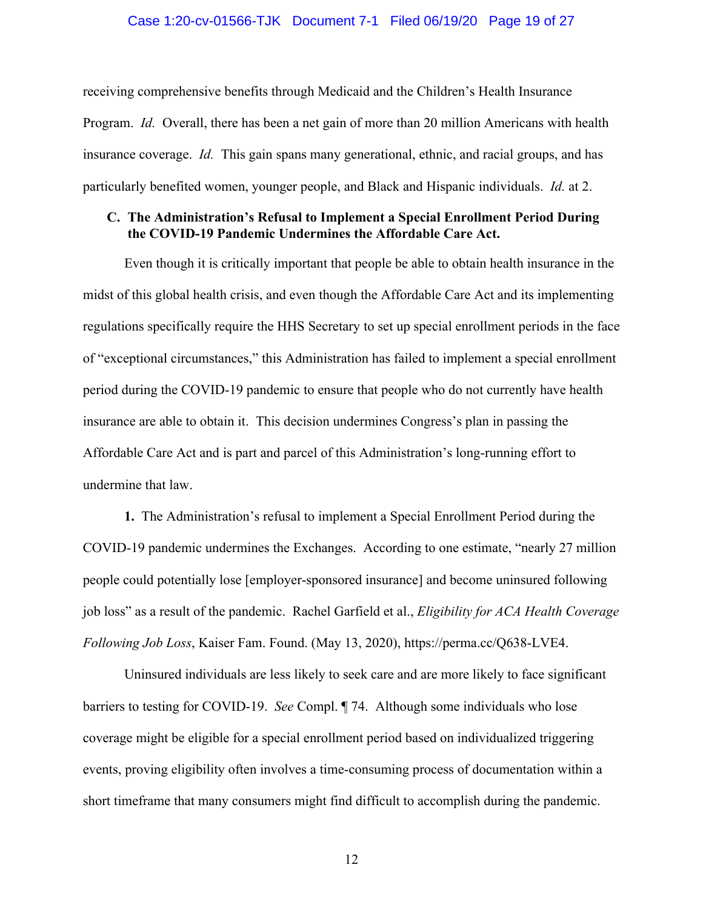#### Case 1:20-cv-01566-TJK Document 7-1 Filed 06/19/20 Page 19 of 27

receiving comprehensive benefits through Medicaid and the Children's Health Insurance Program. *Id.* Overall, there has been a net gain of more than 20 million Americans with health insurance coverage. *Id.* This gain spans many generational, ethnic, and racial groups, and has particularly benefited women, younger people, and Black and Hispanic individuals. *Id.* at 2.

### **C. The Administration's Refusal to Implement a Special Enrollment Period During the COVID-19 Pandemic Undermines the Affordable Care Act.**

Even though it is critically important that people be able to obtain health insurance in the midst of this global health crisis, and even though the Affordable Care Act and its implementing regulations specifically require the HHS Secretary to set up special enrollment periods in the face of "exceptional circumstances," this Administration has failed to implement a special enrollment period during the COVID-19 pandemic to ensure that people who do not currently have health insurance are able to obtain it. This decision undermines Congress's plan in passing the Affordable Care Act and is part and parcel of this Administration's long-running effort to undermine that law.

**1.** The Administration's refusal to implement a Special Enrollment Period during the COVID-19 pandemic undermines the Exchanges. According to one estimate, "nearly 27 million people could potentially lose [employer-sponsored insurance] and become uninsured following job loss" as a result of the pandemic. Rachel Garfield et al., *Eligibility for ACA Health Coverage Following Job Loss*, Kaiser Fam. Found. (May 13, 2020), https://perma.cc/Q638-LVE4.

Uninsured individuals are less likely to seek care and are more likely to face significant barriers to testing for COVID-19. *See* Compl. ¶ 74. Although some individuals who lose coverage might be eligible for a special enrollment period based on individualized triggering events, proving eligibility often involves a time-consuming process of documentation within a short timeframe that many consumers might find difficult to accomplish during the pandemic.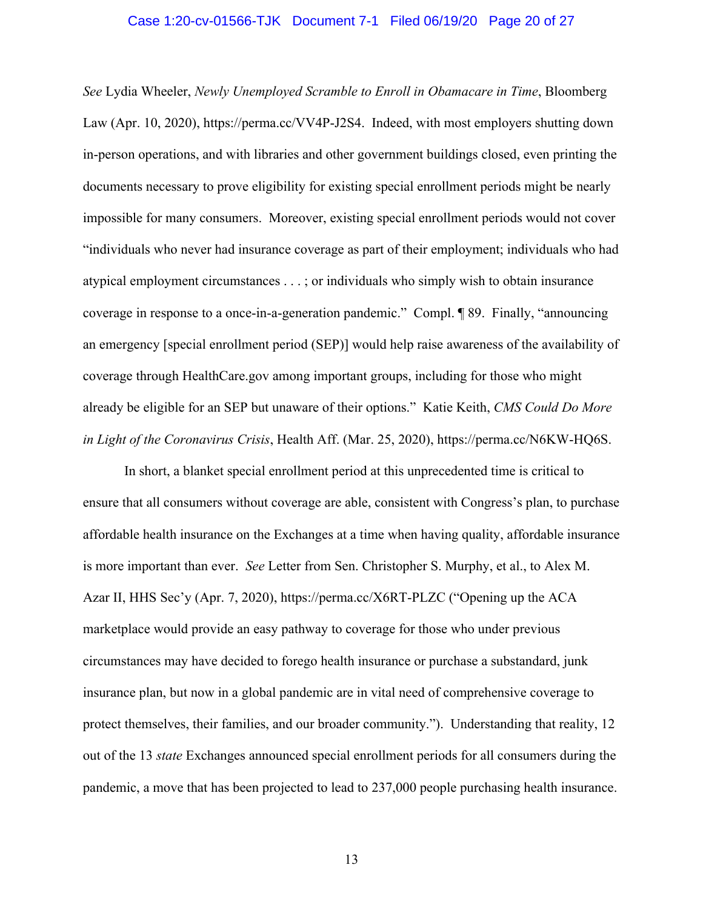#### Case 1:20-cv-01566-TJK Document 7-1 Filed 06/19/20 Page 20 of 27

*See* Lydia Wheeler, *Newly Unemployed Scramble to Enroll in Obamacare in Time*, Bloomberg Law (Apr. 10, 2020), https://perma.cc/VV4P-J2S4. Indeed, with most employers shutting down in-person operations, and with libraries and other government buildings closed, even printing the documents necessary to prove eligibility for existing special enrollment periods might be nearly impossible for many consumers. Moreover, existing special enrollment periods would not cover "individuals who never had insurance coverage as part of their employment; individuals who had atypical employment circumstances . . . ; or individuals who simply wish to obtain insurance coverage in response to a once-in-a-generation pandemic." Compl. ¶ 89. Finally, "announcing an emergency [special enrollment period (SEP)] would help raise awareness of the availability of coverage through HealthCare.gov among important groups, including for those who might already be eligible for an SEP but unaware of their options." Katie Keith, *CMS Could Do More in Light of the Coronavirus Crisis*, Health Aff. (Mar. 25, 2020), https://perma.cc/N6KW-HQ6S.

In short, a blanket special enrollment period at this unprecedented time is critical to ensure that all consumers without coverage are able, consistent with Congress's plan, to purchase affordable health insurance on the Exchanges at a time when having quality, affordable insurance is more important than ever. *See* Letter from Sen. Christopher S. Murphy, et al., to Alex M. Azar II, HHS Sec'y (Apr. 7, 2020), https://perma.cc/X6RT-PLZC ("Opening up the ACA marketplace would provide an easy pathway to coverage for those who under previous circumstances may have decided to forego health insurance or purchase a substandard, junk insurance plan, but now in a global pandemic are in vital need of comprehensive coverage to protect themselves, their families, and our broader community."). Understanding that reality, 12 out of the 13 *state* Exchanges announced special enrollment periods for all consumers during the pandemic, a move that has been projected to lead to 237,000 people purchasing health insurance.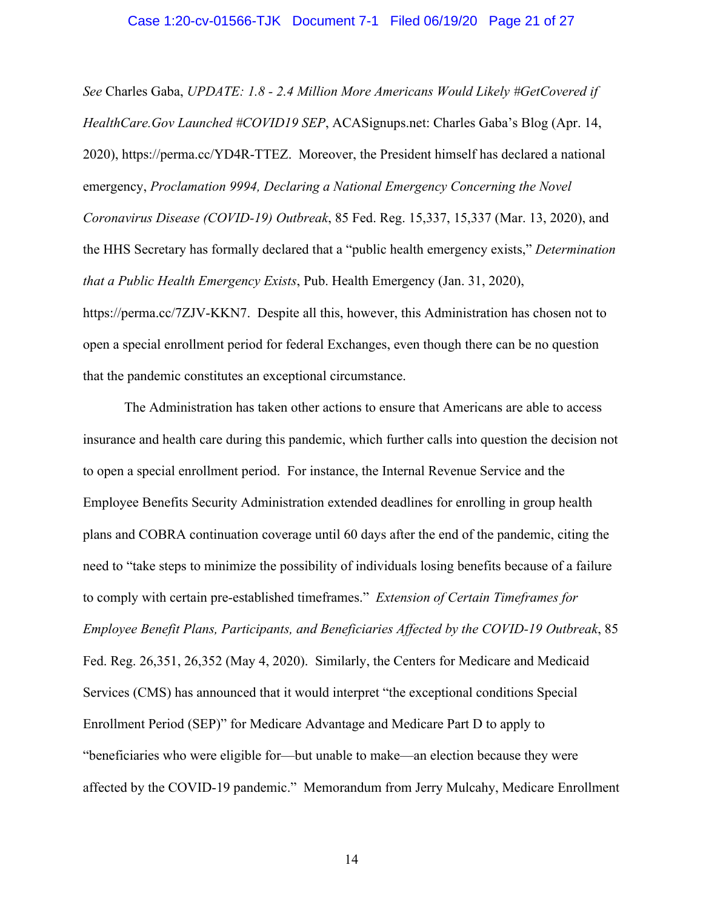#### Case 1:20-cv-01566-TJK Document 7-1 Filed 06/19/20 Page 21 of 27

*See* Charles Gaba, *UPDATE: 1.8 - 2.4 Million More Americans Would Likely #GetCovered if HealthCare.Gov Launched #COVID19 SEP*, ACASignups.net: Charles Gaba's Blog (Apr. 14, 2020), https://perma.cc/YD4R-TTEZ. Moreover, the President himself has declared a national emergency, *Proclamation 9994, Declaring a National Emergency Concerning the Novel Coronavirus Disease (COVID-19) Outbreak*, 85 Fed. Reg. 15,337, 15,337 (Mar. 13, 2020), and the HHS Secretary has formally declared that a "public health emergency exists," *Determination that a Public Health Emergency Exists*, Pub. Health Emergency (Jan. 31, 2020), https://perma.cc/7ZJV-KKN7. Despite all this, however, this Administration has chosen not to open a special enrollment period for federal Exchanges, even though there can be no question that the pandemic constitutes an exceptional circumstance.

The Administration has taken other actions to ensure that Americans are able to access insurance and health care during this pandemic, which further calls into question the decision not to open a special enrollment period. For instance, the Internal Revenue Service and the Employee Benefits Security Administration extended deadlines for enrolling in group health plans and COBRA continuation coverage until 60 days after the end of the pandemic, citing the need to "take steps to minimize the possibility of individuals losing benefits because of a failure to comply with certain pre-established timeframes." *Extension of Certain Timeframes for Employee Benefit Plans, Participants, and Beneficiaries Affected by the COVID-19 Outbreak*, 85 Fed. Reg. 26,351, 26,352 (May 4, 2020). Similarly, the Centers for Medicare and Medicaid Services (CMS) has announced that it would interpret "the exceptional conditions Special Enrollment Period (SEP)" for Medicare Advantage and Medicare Part D to apply to "beneficiaries who were eligible for—but unable to make—an election because they were affected by the COVID-19 pandemic." Memorandum from Jerry Mulcahy, Medicare Enrollment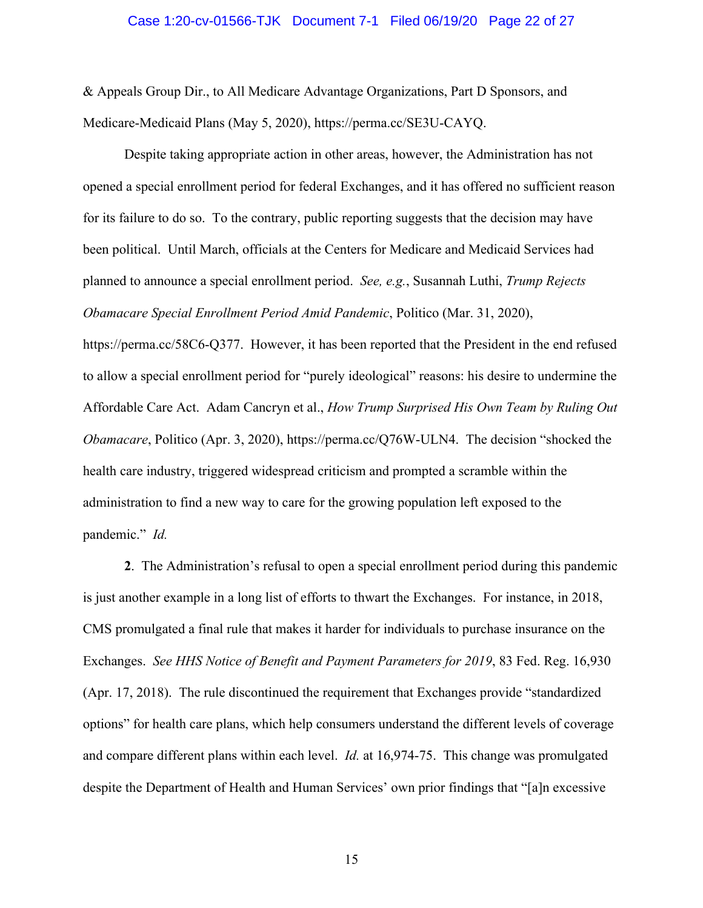#### Case 1:20-cv-01566-TJK Document 7-1 Filed 06/19/20 Page 22 of 27

& Appeals Group Dir., to All Medicare Advantage Organizations, Part D Sponsors, and Medicare-Medicaid Plans (May 5, 2020), https://perma.cc/SE3U-CAYQ.

Despite taking appropriate action in other areas, however, the Administration has not opened a special enrollment period for federal Exchanges, and it has offered no sufficient reason for its failure to do so. To the contrary, public reporting suggests that the decision may have been political. Until March, officials at the Centers for Medicare and Medicaid Services had planned to announce a special enrollment period. *See, e.g.*, Susannah Luthi, *Trump Rejects Obamacare Special Enrollment Period Amid Pandemic*, Politico (Mar. 31, 2020),

https://perma.cc/58C6-Q377. However, it has been reported that the President in the end refused to allow a special enrollment period for "purely ideological" reasons: his desire to undermine the Affordable Care Act. Adam Cancryn et al., *How Trump Surprised His Own Team by Ruling Out Obamacare*, Politico (Apr. 3, 2020), https://perma.cc/Q76W-ULN4. The decision "shocked the health care industry, triggered widespread criticism and prompted a scramble within the administration to find a new way to care for the growing population left exposed to the pandemic." *Id.*

**2**. The Administration's refusal to open a special enrollment period during this pandemic is just another example in a long list of efforts to thwart the Exchanges. For instance, in 2018, CMS promulgated a final rule that makes it harder for individuals to purchase insurance on the Exchanges. *See HHS Notice of Benefit and Payment Parameters for 2019*, 83 Fed. Reg. 16,930 (Apr. 17, 2018). The rule discontinued the requirement that Exchanges provide "standardized options" for health care plans, which help consumers understand the different levels of coverage and compare different plans within each level. *Id.* at 16,974-75. This change was promulgated despite the Department of Health and Human Services' own prior findings that "[a]n excessive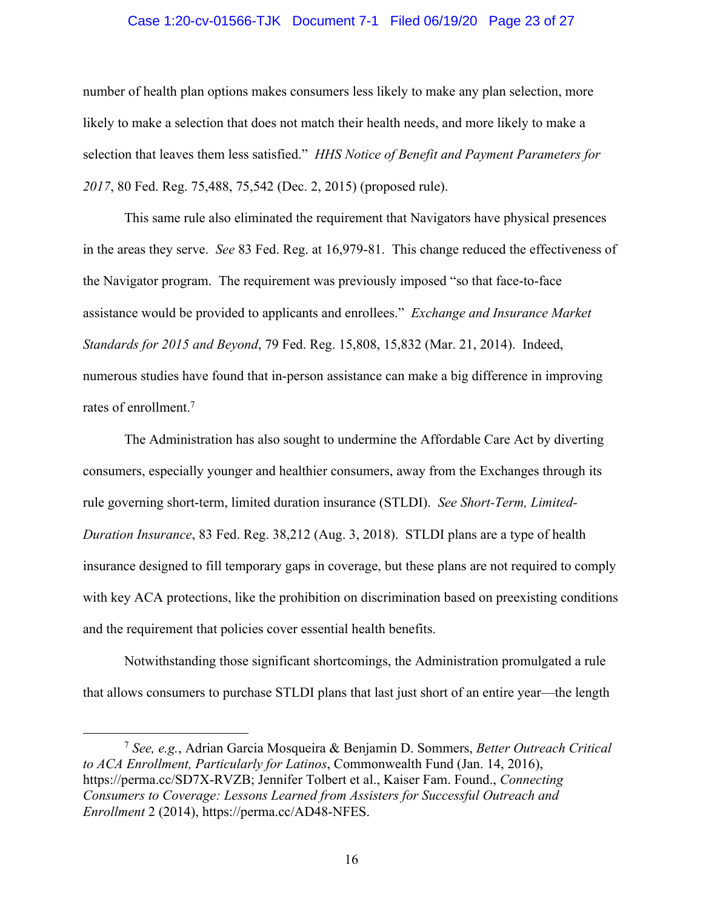#### Case 1:20-cv-01566-TJK Document 7-1 Filed 06/19/20 Page 23 of 27

number of health plan options makes consumers less likely to make any plan selection, more likely to make a selection that does not match their health needs, and more likely to make a selection that leaves them less satisfied." *HHS Notice of Benefit and Payment Parameters for 2017*, 80 Fed. Reg. 75,488, 75,542 (Dec. 2, 2015) (proposed rule).

This same rule also eliminated the requirement that Navigators have physical presences in the areas they serve. *See* 83 Fed. Reg. at 16,979-81. This change reduced the effectiveness of the Navigator program. The requirement was previously imposed "so that face-to-face assistance would be provided to applicants and enrollees." *Exchange and Insurance Market Standards for 2015 and Beyond*, 79 Fed. Reg. 15,808, 15,832 (Mar. 21, 2014). Indeed, numerous studies have found that in-person assistance can make a big difference in improving rates of enrollment.7

The Administration has also sought to undermine the Affordable Care Act by diverting consumers, especially younger and healthier consumers, away from the Exchanges through its rule governing short-term, limited duration insurance (STLDI). *See Short-Term, Limited-Duration Insurance*, 83 Fed. Reg. 38,212 (Aug. 3, 2018). STLDI plans are a type of health insurance designed to fill temporary gaps in coverage, but these plans are not required to comply with key ACA protections, like the prohibition on discrimination based on preexisting conditions and the requirement that policies cover essential health benefits.

Notwithstanding those significant shortcomings, the Administration promulgated a rule that allows consumers to purchase STLDI plans that last just short of an entire year—the length

<sup>7</sup> *See, e.g.*, Adrian Garcia Mosqueira & Benjamin D. Sommers, *Better Outreach Critical to ACA Enrollment, Particularly for Latinos*, Commonwealth Fund (Jan. 14, 2016), https://perma.cc/SD7X-RVZB; Jennifer Tolbert et al., Kaiser Fam. Found., *Connecting Consumers to Coverage: Lessons Learned from Assisters for Successful Outreach and Enrollment* 2 (2014), https://perma.cc/AD48-NFES.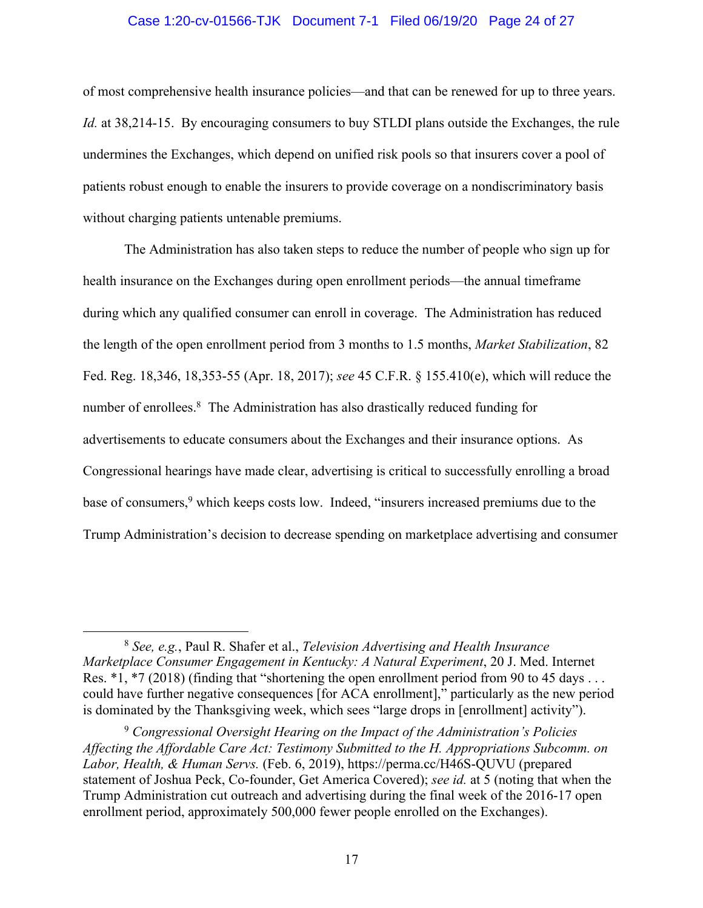#### Case 1:20-cv-01566-TJK Document 7-1 Filed 06/19/20 Page 24 of 27

of most comprehensive health insurance policies—and that can be renewed for up to three years. *Id.* at 38,214-15. By encouraging consumers to buy STLDI plans outside the Exchanges, the rule undermines the Exchanges, which depend on unified risk pools so that insurers cover a pool of patients robust enough to enable the insurers to provide coverage on a nondiscriminatory basis without charging patients untenable premiums.

The Administration has also taken steps to reduce the number of people who sign up for health insurance on the Exchanges during open enrollment periods—the annual timeframe during which any qualified consumer can enroll in coverage. The Administration has reduced the length of the open enrollment period from 3 months to 1.5 months, *Market Stabilization*, 82 Fed. Reg. 18,346, 18,353-55 (Apr. 18, 2017); *see* 45 C.F.R. § 155.410(e), which will reduce the number of enrollees.<sup>8</sup> The Administration has also drastically reduced funding for advertisements to educate consumers about the Exchanges and their insurance options. As Congressional hearings have made clear, advertising is critical to successfully enrolling a broad base of consumers,<sup>9</sup> which keeps costs low. Indeed, "insurers increased premiums due to the Trump Administration's decision to decrease spending on marketplace advertising and consumer

<sup>8</sup> *See, e.g.*, Paul R. Shafer et al., *Television Advertising and Health Insurance Marketplace Consumer Engagement in Kentucky: A Natural Experiment*, 20 J. Med. Internet Res. \*1, \*7 (2018) (finding that "shortening the open enrollment period from 90 to 45 days ... could have further negative consequences [for ACA enrollment]," particularly as the new period is dominated by the Thanksgiving week, which sees "large drops in [enrollment] activity").

<sup>9</sup> *Congressional Oversight Hearing on the Impact of the Administration's Policies Affecting the Affordable Care Act: Testimony Submitted to the H. Appropriations Subcomm. on Labor, Health, & Human Servs.* (Feb. 6, 2019), https://perma.cc/H46S-QUVU (prepared statement of Joshua Peck, Co-founder, Get America Covered); *see id.* at 5 (noting that when the Trump Administration cut outreach and advertising during the final week of the 2016-17 open enrollment period, approximately 500,000 fewer people enrolled on the Exchanges).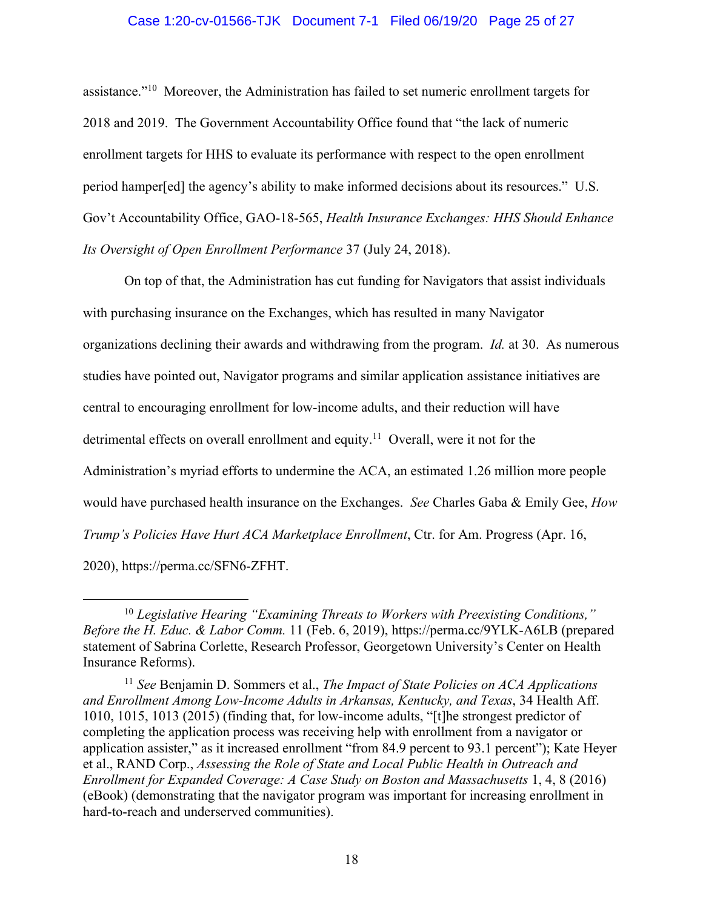#### Case 1:20-cv-01566-TJK Document 7-1 Filed 06/19/20 Page 25 of 27

assistance."10 Moreover, the Administration has failed to set numeric enrollment targets for 2018 and 2019. The Government Accountability Office found that "the lack of numeric enrollment targets for HHS to evaluate its performance with respect to the open enrollment period hamper[ed] the agency's ability to make informed decisions about its resources." U.S. Gov't Accountability Office, GAO-18-565, *Health Insurance Exchanges: HHS Should Enhance Its Oversight of Open Enrollment Performance* 37 (July 24, 2018).

On top of that, the Administration has cut funding for Navigators that assist individuals with purchasing insurance on the Exchanges, which has resulted in many Navigator organizations declining their awards and withdrawing from the program. *Id.* at 30. As numerous studies have pointed out, Navigator programs and similar application assistance initiatives are central to encouraging enrollment for low-income adults, and their reduction will have detrimental effects on overall enrollment and equity.<sup>11</sup> Overall, were it not for the Administration's myriad efforts to undermine the ACA, an estimated 1.26 million more people would have purchased health insurance on the Exchanges. *See* Charles Gaba & Emily Gee, *How Trump's Policies Have Hurt ACA Marketplace Enrollment*, Ctr. for Am. Progress (Apr. 16, 2020), https://perma.cc/SFN6-ZFHT.

<sup>10</sup> *Legislative Hearing "Examining Threats to Workers with Preexisting Conditions," Before the H. Educ. & Labor Comm.* 11 (Feb. 6, 2019), https://perma.cc/9YLK-A6LB (prepared statement of Sabrina Corlette, Research Professor, Georgetown University's Center on Health Insurance Reforms).

<sup>11</sup> *See* Benjamin D. Sommers et al., *The Impact of State Policies on ACA Applications and Enrollment Among Low-Income Adults in Arkansas, Kentucky, and Texas*, 34 Health Aff. 1010, 1015, 1013 (2015) (finding that, for low-income adults, "[t]he strongest predictor of completing the application process was receiving help with enrollment from a navigator or application assister," as it increased enrollment "from 84.9 percent to 93.1 percent"); Kate Heyer et al., RAND Corp., *Assessing the Role of State and Local Public Health in Outreach and Enrollment for Expanded Coverage: A Case Study on Boston and Massachusetts* 1, 4, 8 (2016) (eBook) (demonstrating that the navigator program was important for increasing enrollment in hard-to-reach and underserved communities).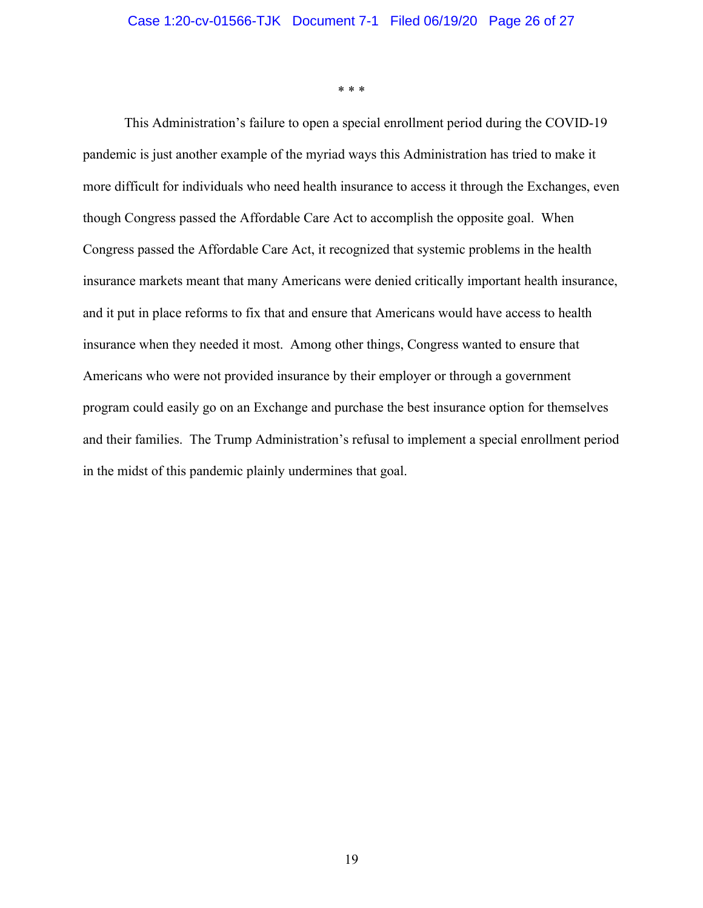\* \* \*

This Administration's failure to open a special enrollment period during the COVID-19 pandemic is just another example of the myriad ways this Administration has tried to make it more difficult for individuals who need health insurance to access it through the Exchanges, even though Congress passed the Affordable Care Act to accomplish the opposite goal. When Congress passed the Affordable Care Act, it recognized that systemic problems in the health insurance markets meant that many Americans were denied critically important health insurance, and it put in place reforms to fix that and ensure that Americans would have access to health insurance when they needed it most. Among other things, Congress wanted to ensure that Americans who were not provided insurance by their employer or through a government program could easily go on an Exchange and purchase the best insurance option for themselves and their families. The Trump Administration's refusal to implement a special enrollment period in the midst of this pandemic plainly undermines that goal.